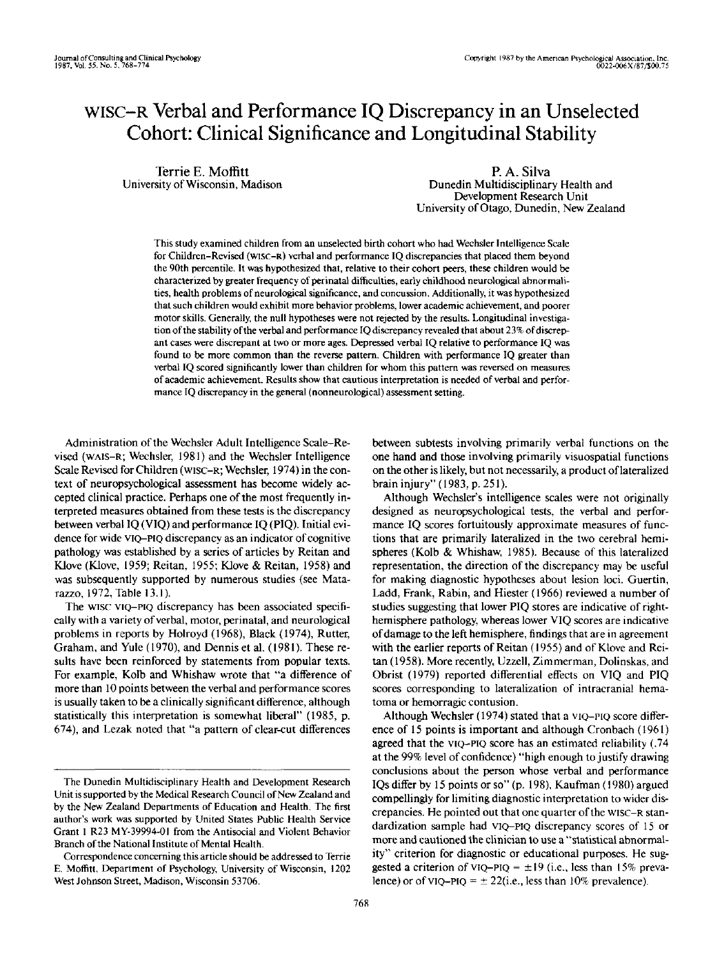# WISC-R Verbal and Performance IQ Discrepancy in an Unselected Cohort: Clinical Significance and Longitudinal Stability

Terrie E. Moffitt University of Wisconsin, Madison

P. A. Silva Dunedin Multidisciplinary Health and Development Research Unit University of Otago, Dunedin, New Zealand

This study examined children from an unselected birth cohort who had Wechsler Intelligence Scale for Children-Revised (WISC-R) verbal and performance IQ discrepancies that placed them beyond the 90th percentile. It was hypothesized that, relative to their cohort peers, these children would be characterized by greater frequency of perinatal difficulties, early childhood neurological abnormalities, health problems of neurological significance, and concussion. Additionally, it was hypothesized that such children would exhibit more behavior problems, lower academic achievement, and poorer motor skills. Generally, the null hypotheses were not rejected by the results. Longitudinal investigation of the stability of the verbal and performance IQ discrepancy revealed that about 23% of discrepant cases were discrepant at two or more ages. Depressed verbal IQ relative to performance IQ was found to be more common than the reverse pattern. Children with performance IQ greater than verbal IQ scored significantly lower than children for whom this pattern was reversed on measures of academic achievement. Results show that cautious interpretation is needed of verbal and performance IQ discrepancy in the general (nonneurological) assessment setting.

Administration of the Wechsler Adult Intelligence Scale-Revised (WAIS-R; Wechsler, 1981) and the Wechsler Intelligence Scale Revised for Children (WISC-R; Wechsler, 1974) in the context of neuropsychological assessment has become widely accepted clinical practice. Perhaps one of the most frequently interpreted measures obtained from these tests is the discrepancy between verbal IQ (VIQ) and performance IQ (P1Q). Initial evidence for wide VIQ-PIQ discrepancy as an indicator of cognitive pathology was established by a series of articles by Reitan and Klove (KJove, 1959; Reitan, 1955; Klove & Reitan, 1958) and was subsequently supported by numerous studies (see Matarazzo, 1972, Table 13.1).

The wise VIQ-PIQ discrepancy has been associated specifically with a variety of verbal, motor, perinatal, and neurological problems in reports by Holroyd (1968), Black (1974), Rutter, Graham, and Yule (1970), and Dennis et al. (1981). These results have been reinforced by statements from popular texts. For example. Kolb and Whishaw wrote that "a difference of more than 10 points between the verbal and performance scores is usually taken to be a clinically significant difference, although statistically this interpretation is somewhat liberal" (1985, p. 674), and Lezak noted that "a pattern of clear-cut differences

between subtests involving primarily verbal functions on the one hand and those involving primarily visuospatial functions on the other is likely, but not necessarily, a product of lateralized brain injury" (1983, p. 251).

Although Wechsler's intelligence scales were not originally designed as neuropsychological tests, the verbal and performance IQ scores fortuitously approximate measures of functions that are primarily lateralized in the two cerebral hemispheres (Kolb & Whishaw, 1985). Because of this lateralized representation, the direction of the discrepancy may be useful for making diagnostic hypotheses about lesion loci. Guertin, Ladd, Frank, Rabin, and Hiester (1966) reviewed a number of studies suggesting that lower PIQ stores are indicative of righthemisphere pathology, whereas lower VIQ scores are indicative of damage to the left hemisphere, findings that are in agreement with the earlier reports of Reitan (1955) and of Klove and Reitan (1958). More recently, Uzzell, Zimmerman, Dolinskas, and Obrist (1979) reported differential effects on VIQ and PIQ scores corresponding to lateralization of intracranial hematoma or hemorragic contusion.

Although Wechsler (1974) stated that a VIQ-PIQ score difference of 15 points is important and although Cronbach (1961) agreed that the VIQ-PIQ score has an estimated reliability (.74 at the 99% level of confidence) "high enough to justify drawing conclusions about the person whose verbal and performance IQs differ by 15 points or so" (p. 198), Kaufman (1980) argued compellingly for limiting diagnostic interpretation to wider discrepancies. He pointed out that one quarter of the WISC-R standardization sample had VIQ-PIQ discrepancy scores of 15 or more and cautioned the clinician to use a "statistical abnormality" criterion for diagnostic or educational purposes. He suggested a criterion of VIQ-PIQ =  $\pm 19$  (i.e., less than 15% prevalence) or of VIQ-PIQ =  $\pm$  22(i.e., less than 10% prevalence).

The Dunedin Multidisciplinary Health and Development Research Unit is supported by the Medical Research Council of New Zealand and by the New Zealand Departments of Education and Health. The first author's work was supported by United States Public Health Service Grant 1 R23 MY-39994-OI from the Antisocial and Violent Behavior Branch of the National Institute of Mental Health.

Correspondence concerning this article should be addressed to Terrie E. Moffitt, Department of Psychology, University of Wisconsin, 1202 West Johnson Street, Madison, Wisconsin 53706.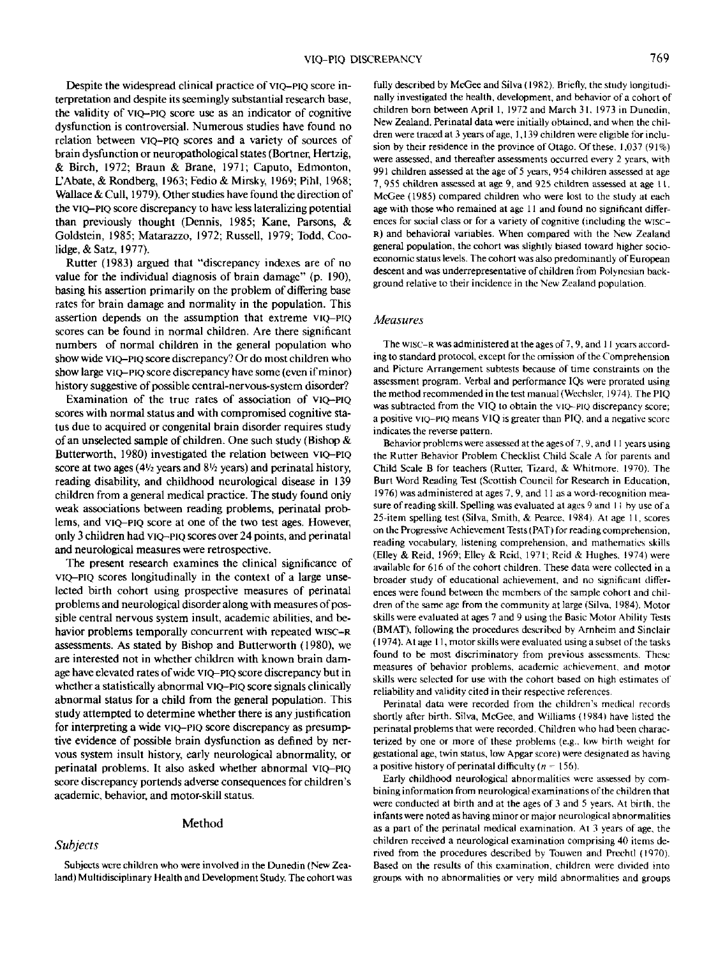Despite the widespread clinical practice of VIQ-PIQ score interpretation and despite its seemingly substantial research base, the validity of VIQ-PIQ score use as an indicator of cognitive dysfunction is controversial. Numerous studies have found no relation between VIQ-PIQ scores and a variety of sources of brain dysfunction or neuropathological states (Bortner, Hertzig, & Birch, 1972; Braun & Brane, 1971; Caputo, Edmonton, L'Abate, & Rondberg, 1963; Fedio & Mirsky, 1969; Pihl, 1968; Wallace & Cull, 1979). Other studies have found the direction of the VIQ-PIQ score discrepancy to have less lateralizing potential than previously thought (Dennis, 1985; Kane, Parsons, & Goldstein, 1985; Matarazzo, 1972; Russell, 1979; Todd, Coolidge. & Satz, 1977).

Rutter (1983) argued that "discrepancy indexes are of no value for the individual diagnosis of brain damage" (p. 190), basing his assertion primarily on the problem of differing base rates for brain damage and normality in the population. This assertion depends on the assumption that extreme VIQ-PIQ scores can be found in normal children. Are there significant numbers of normal children in the general population who show wide VIQ-PIQ score discrepancy? Or do most children who show large VIQ-PIQ score discrepancy have some (even if minor) history suggestive of possible central-nervous-system disorder?

Examination of the true rates of association of VIQ-PIQ scores with normal status and with compromised cognitive status due to acquired or congenital brain disorder requires study of an unselected sample of children. One such study (Bishop & Butterworth, 1980) investigated the relation between VIQ-PIQ score at two ages (4<sup> $1/2$ </sup> years and 8<sup> $1/2$ </sup> years) and perinatal history, reading disability, and childhood neurological disease in 139 children from a general medical practice. The study found only weak associations between reading problems, perinatal problems, and VIQ-PIQ score at one of the two test ages. However, only 3 children had VIQ-PIQ scores over 24 points, and perinatal and neurological measures were retrospective.

The present research examines the clinical significance of VIQ-PIQ scores longitudinally in the context of a large unselected birth cohort using prospective measures of perinatal problems and neurological disorder along with measures of possible central nervous system insult, academic abilities, and behavior problems temporally concurrent with repeated wisc-R assessments. As stated by Bishop and Butterworth (1980), we are interested not in whether children with known brain damage have elevated rates of wide VIQ-PIQ score discrepancy but in whether a statistically abnormal VIQ-PIQ score signals clinically abnormal status for a child from the general population. This study attempted to determine whether there is any justification for interpreting a wide VIQ-PIQ score discrepancy as presumptive evidence of possible brain dysfunction as defined by nervous system insult history, early neurological abnormality, or perinatal problems. It also asked whether abnormal VIQ-PIQ score discrepancy portends adverse consequences for children's academic, behavior, and motor-skill status.

#### Method

## *Subjects*

Subjects were children who were involved in the Dunedin (New Zealand) Multidisciplinary Health and Development Study. The cohort was fully described by McGee and Silva (1982). Briefly, the study longitudinally investigated the health, development, and behavior of a cohort of children born between April 1, 1972 and March 31. 1973 in Dunedin, New Zealand. Perinatal data were initially obtained, and when the children were traced at 3 years of age, 1,139 children were eligible for inclusion by their residence in the province of Otago. Of these. 1.037 (91%) were assessed, and thereafter assessments occurred every 2 years, with 991 children assessed at the age of 5 yeare, 954 children assessed at age 7, 955 children assessed at age 9, and 925 children assessed at age 11. McGee (1985) compared children who were lost to the study at each age with those who remained at age 11 and found no significant differences for social class or for a variety of cognitive (including the wisc-R) and behavioral variables. When compared with the New Zealand general population, the cohort was slightly biased toward higher socioeconomic status levels. The cohort was also predominantly of European descent and was underrepresentative of children from Polynesian background relative to their incidence in the New Zealand population.

#### *Measures*

The WISC-R was administered at the ages of 7,9, and 11 years according to standard protocol, except for the omission of the Comprehension and Picture Arrangement subtests because of time constraints on the assessment program. Verbal and performance IQs were prorated using the method recommended in the test manual (Wechsler, 1974). The PIQ was subtracted from the VIQ to obtain the VIQ-PIQ discrepancy score; a positive VIQ-PIQ means VIQ is greater than PIQ. and a negative score indicates the reverse pattern.

Behavior problems were assessed at the ages of 7, 9, and 11 years using the Rutter Behavior Problem Checklist Child Scale A for parents and Child Scale B for teachers (Rutter, Tizard, & Whitmore. 1970). The Burt Word Reading Test (Scottish Council for Research in Education, 1976) was administered at ages 7,9, and 11 as a word-recognition measure of reading skill. Spelling was evaluated at ages 9 and 1 1 by use of a 25-item spelling test (Silva, Smith, & Pcarce, 1984). At age 11, scores on the Progressive Achievement Tests (PAT) for reading comprehension, reading vocabulary, listening comprehension, and mathematics skills (Elley & Reid, 1969; Elley & Reid, 1971; Reid & Hughes. 1974) were available for 616 of the cohort children. These data were collected in a broader study of educational achievement, and no significant differences were found between the members of the sample cohort and children of the same age from the community at large (Silva. 1984). Motor skills were evaluated at ages 7 and 9 using the Basic Motor Ability Tests (BMAT), following the procedures described by Arnheim and Sinclair (1974). At age 11, motor skills were evaluated using a subset of the tasks found to be most discriminatory from previous assessments. These measures of behavior problems, academic achievement, and motor skills were selected for use with the cohort based on high estimates of reliability and validity cited in their respective references.

Perinatal data were recorded from the children's medical records shortly after birth. Silva, McGee, and Williams (1984) have listed the perinatal problems that were recorded. Children who had been characterized by one or more of these problems (e.g.. low birth weight for gestational age, twin status, low Apgar score) were designated as having a positive history of perinatal difficulty  $(n = 156)$ .

Early childhood neurological abnormalities were assessed by combining information from neurological examinations of the children that were conducted at birth and at the ages of 3 and 5 years. At birth, the infants were noted as having minor or major neurological abnormalities as a part of the perinatal medical examination. At 3 years of age, the children received a neurological examination comprising 40 items derived from the procedures described by Touwen and Prechtl (1970). Based on the results of this examination, children were divided into groups with no abnormalities or very mild abnormalities and groups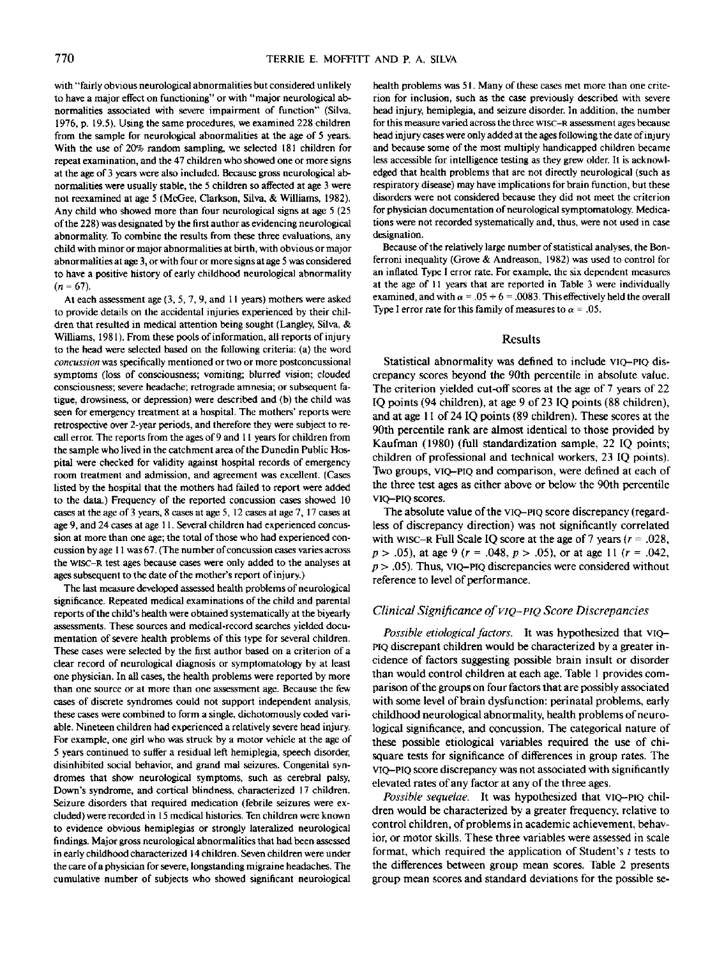with "fairly obvious neurological abnormalities but considered unlikely to have a major effect on functioning" or with "major neurological abnormalities associated with severe impairment of function" (Silva, 1976, p. 19.5). Using the same procedures, we examined 228 children from the sample for neurological abnormalities at the age of 5 years. With the use of 20% random sampling, we selected 181 children for repeat examination, and the 47 children who showed one or more signs at the age of 3 years were also included. Because gross neurological abnormalities were usually stable, the 5 children so affected at age 3 were not reexamined at age 5 (McGee, Clarkson, Silva, & Williams, 1982). Any child who showed more than four neurological signs at age 5 (25 of the 228) was designated by the first author as evidencing neurological abnormality. To combine the results from these three evaluations, any child with minor or major abnormalities at birth, with obvious or major abnormalities at age 3, or with four or more signs at age 5 was considered to have a positive history of early childhood neurological abnormality  $(n = 67)$ .

At each assessment age (3, 5, 7,9, and 11 years) mothers were asked to provide details on the accidental injuries experienced by their children that resulted in medical attention being sought (Langley, Silva, & Williams, 1981). From these pools of information, all reports of injury to the head were selected based on the following criteria: (a) the word *concussion* was specifically mentioned or two or more postconcussional symptoms (loss of consciousness; vomiting; blurred vision; clouded consciousness; severe headache; retrograde amnesia; or subsequent fatigue, drowsiness, or depression) were described and (b) the child was seen for emergency treatment at a hospital. The mothers' reports were retrospective over 2-year periods, and therefore they were subject to recall error. The reports from the ages of 9 and 11 years for children from the sample who lived in the catchment area of the Dunedin Public Hospital were checked for validity against hospital records of emergency room treatment and admission, and agreement was excellent. (Cases listed by the hospital that the mothers had failed to report were added to the data.) Frequency of the reported concussion cases showed 10 cases at the age of 3 years, 8 cases at age 5,12 cases at age 7,17 cases at age 9, and 24 cases at age 11. Several children had experienced concussion at more than one age; the total of those who had experienced concussion by age 11 was67.(The number of concussion cases varies across the WISC-R test ages because cases were only added to the analyses at ages subsequent to the date of the mother's report of injury.)

The last measure developed assessed health problems of neurological significance. Repeated medical examinations of the child and parental reports of the child's health were obtained systematically at the biyearly assessments. These sources and medical-record searches yielded documentation of severe health problems of this type for several children. These cases were selected by the first author based on a criterion of a clear record of neurological diagnosis or symptomatology by at least one physician. In all cases, the health problems were reported by more than one source or at more than one assessment age. Because the few cases of discrete syndromes could not support independent analysis, these cases were combined to form a single, dichotomously coded variable. Nineteen children had experienced a relatively severe head injury. For example, one girl who was struck by a motor vehicle at the age of 5 years continued to suffer a residual left hemiplegia, speech disorder, disinhibited social behavior, and grand mal seizures. Congenital syndromes that show neurological symptoms, such as cerebral palsy, Down's syndrome, and cortical blindness, characterized 17 children. Seizure disorders that required medication (febrile seizures were excluded) were recorded in 15 medical histories. Ten children were known to evidence obvious hemiplegias or strongly lateralized neurological findings. Major gross neurological abnormalities that had been assessed in early childhood characterized 14 children. Seven children were under the care of a physician for severe, longstanding migraine headaches. The cumulative number of subjects who showed significant neurological

health problems was 51. Many of these cases met more than one criterion for inclusion, such as the case previously described with severe head injury, hemiplegia, and seizure disorder. In addition, the number for this measure varied across the three wisc-R assessment ages because head injury cases were only added at the ages following the date of injury and because some of the most multiply handicapped children became less accessible for intelligence testing as they grew older. It is acknowledged that health problems that are not directly neurological (such as respiratory disease) may have implications for brain function, but these disorders were not considered because they did not meet the criterion for physician documentation of neurological symptomatology. Medications were not recorded systematically and, thus, were not used in case designation.

Because of the relatively large number of statistical analyses, the Bonferroni inequality (Grove & Andreason, 1982) was used to control for an inflated Type I error rate. For example, the six dependent measures at the age of 11 years that are reported in Table 3 were individually examined, and with  $\alpha = .05 \div 6 = .0083$ . This effectively held the overall Type I error rate for this family of measures to  $\alpha = .05$ .

#### **Results**

Statistical abnormality was defined to include VIQ-PIQ discrepancy scores beyond the 90th percentile in absolute value. The criterion yielded cut-off scores at the age of 7 years of 22 IQ points (94 children), at age 9 of 23 IQ points (88 children), and at age 11 of 24 IQ points (89 children). These scores at the 90th percentile rank are almost identical to those provided by Kaufman (1980) (full standardization sample, 22 IQ points; children of professional and technical workers, 23 IQ points). Two groups, VIQ-PIQ and comparison, were defined at each of the three test ages as either above or below the 90th percentile VIQ-PIQ scores.

The absolute value of the VIQ-PIQ score discrepancy (regardless of discrepancy direction) was not significantly correlated with WISC-R Full Scale IQ score at the age of 7 years *(r* = .028, *p >* .05), at age 9 *(r =* .048, *p >* .05), or at age 11 *(r =* .042,  $p$  > .05). Thus, VIQ-PIQ discrepancies were considered without reference to level of performance.

#### *Clinical Significance of VIQ-PIQ Score Discrepancies*

*Possible etiological factors.* It was hypothesized that VIQ-PIQ discrepant children would be characterized by a greater incidence of factors suggesting possible brain insult or disorder than would control children at each age. Table 1 provides comparison of the groups on four factors that are possibly associated with some level of brain dysfunction: perinatal problems, early childhood neurological abnormality, health problems of neurological significance, and concussion. The categorical nature of these possible etiological variables required the use of chisquare tests for significance of differences in group rates. The VIQ-PIQ score discrepancy was not associated with significantly elevated rates of any factor at any of the three ages.

*Possible sequelae.* It was hypothesized that VIQ-PIQ children would be characterized by a greater frequency, relative to control children, of problems in academic achievement, behavior, or motor skills. These three variables were assessed in scale format, which required the application of Student's  $t$  tests to the differences between group mean scores. Table 2 presents group mean scores and standard deviations for the possible se-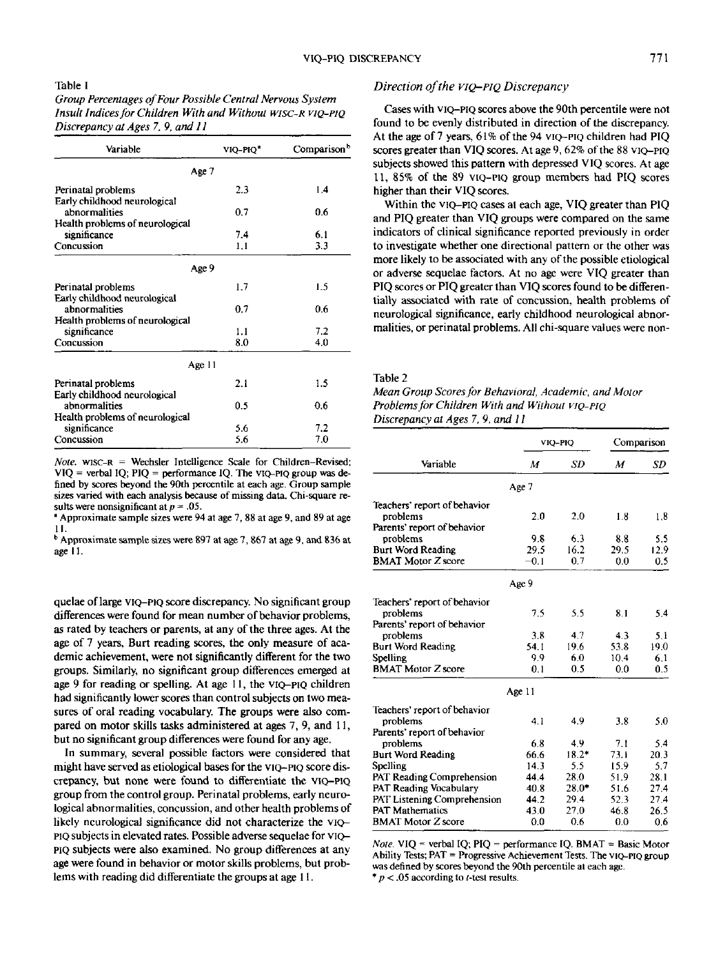## Table 1

*Group Percentages of Four Possible Central Nervous System Insult Indices for Children With and Without WISC-R VIQ-PIQ Discrepancy at Ages 7. 9, and 11*

| Variable                                           | VIQ-PIQ <sup>a</sup> | Comparison <sup>b</sup> |  |  |
|----------------------------------------------------|----------------------|-------------------------|--|--|
| Age 7                                              |                      |                         |  |  |
| Perinatal problems                                 | 2.3                  | 1.4                     |  |  |
| Early childhood neurological<br>abnormalities      | 0.7                  | 0.6                     |  |  |
| Health problems of neurological<br>significance    | 7.4                  | 6.1                     |  |  |
| Concussion                                         | 1,1                  | 3.3                     |  |  |
| Age 9                                              |                      |                         |  |  |
| Perinatal problems                                 | 1.7                  | 1.5                     |  |  |
| Early childhood neurological<br>abnormalities      | 0.7                  | 0.6                     |  |  |
| Health problems of neurological<br>significance    | 1.1                  | 7.2                     |  |  |
| Concussion                                         | 8.0                  | 4.0                     |  |  |
| Age 11                                             |                      |                         |  |  |
| Perinatal problems<br>Early childhood neurological | 2.1                  | 1.5                     |  |  |
| abnormalities                                      | 0.5                  | 0.6                     |  |  |
| Health problems of neurological<br>significance    | 5.6                  | 7.2                     |  |  |
| Concussion                                         | 5.6                  | 7.0                     |  |  |

*Note.* WISC-R = Wechsler Intelligence Scale for Children-Revised;  $VIQ$  = verbal IQ; PIQ = performance IQ. The VIQ-PIQ group was defined by scores beyond the 90th percentile at each age. Group sample sizes varied with each analysis because of missing data. Chi-square results were nonsignificant at *p =* .05.

• Approximate sample sizes were 94 at age 7, 88 at age 9, and 89 at age I I.

b Approximate sample sizes were 897 at age 7, 867 at age 9, and 836 at age II.

quelae of large VIQ-PIQ score discrepancy. No significant group differences were found for mean number of behavior problems, as rated by teachers or parents, at any of the three ages. At the age of 7 years, Burt reading scores, the only measure of academic achievement, were not significantly different for the two groups. Similarly, no significant group differences emerged at age 9 for reading or spelling. At age 11, the VIQ-PIQ children had significantly lower scores than control subjects on two measures of oral reading vocabulary. The groups were also compared on motor skills tasks administered at ages 7, 9, and 11, but no significant group differences were found for any age.

In summary, several possible factors were considered that might have served as etiological bases for the VIQ-PIQ score discrepancy, but none were found to differentiate the VIQ-PIQ group from the control group. Perinatal problems, early neurological abnormalities, concussion, and other health problems of likely neurological significance did not characterize the VIQ-PIQ subjects in elevated rates. Possible adverse sequelae for VIQ-PIQ subjects were also examined. No group differences at any age were found in behavior or motor skills problems, but problems with reading did differentiate the groups at age 11.

## *Direction of the VIQ-PIQ Discrepancy*

Cases with VIQ-PIQ scores above the 90th percentile were not found to be evenly distributed in direction of the discrepancy. At the age of 7 years, 61% of the 94 VIQ-PIQ children had PIQ scores greater than VIQ scores. At age 9, 62% of the 88 VIQ-PIQ subjects showed this pattern with depressed VIQ scores. At age 11, 85% of the 89 VIQ-PIQ group members had PIQ scores higher than their VIQ scores.

Within the VIQ-PIQ cases al each age, VIQ greater than PIQ and PIQ greater than VIQ groups were compared on the same indicators of clinical significance reported previously in order to investigate whether one directional pattern or the other was more likely to be associated with any of the possible etiological or adverse sequelae factors. At no age were VIQ greater than PIQ scores or PIQ greater than VIQ scores found to be differentially associated with rate of concussion, health problems of neurological significance, early childhood neurological abnormalities, or perinatal problems. All chi-square values were non-

#### Table 2

| Mean Group Scores for Behavioral, Academic, and Motor |
|-------------------------------------------------------|
| Problems for Children With and Without VIO-PIO        |
| Discrepancy at Ages 7, 9, and 11                      |

| Variable                         | VIQ-PIQ |         | Comparison |      |
|----------------------------------|---------|---------|------------|------|
|                                  | M       | SD      | М          | SD   |
|                                  | Age 7   |         |            |      |
| Teachers' report of behavior     |         |         |            |      |
| problems                         | 2.0     | 2.0     | 1.8        | 1.8  |
| Parents' report of behavior      |         |         |            |      |
| problems                         | 9.8     | 6.3     | 8.8        | 5.5  |
| <b>Burt Word Reading</b>         | 29.5    | 16.2    | 29.5       | 12.9 |
| <b>BMAT Motor Z score</b>        | $-0.1$  | 0.7     | 0.0        | 0.5  |
|                                  | Age 9   |         |            |      |
| Teachers' report of behavior     |         |         |            |      |
| problems                         | 7.5     | 5.5     | 8.1        | 5.4  |
| Parents' report of behavior      |         |         |            |      |
| problems                         | 3.8     | 4.7     | 4.3        | 5.1  |
| <b>Burt Word Reading</b>         | 54.1    | 19.6    | 53.8       | 19.0 |
| Spelling                         | 9.9     | 6.0     | 10.4       | 6.1  |
| <b>BMAT Motor Z score</b>        | 0.1     | 0.5     | 0.0        | 0.5  |
|                                  | Age 11  |         |            |      |
| Teachers' report of behavior     |         |         |            |      |
| problems                         | 4.1     | 4.9     | 3.8        | 5.0  |
| Parents' report of behavior      |         |         |            |      |
| problems                         | 6.8     | 4.9     | 7.1        | 5.4  |
| <b>Burt Word Reading</b>         | 66.6    | $18.2*$ | 73.1       | 20.3 |
| Spelling                         | 14.3    | 5.5     | 15.9       | 5.7  |
| <b>PAT Reading Comprehension</b> | 44.4    | 28.0    | 51.9       | 28.1 |
| PAT Reading Vocabulary           | 40.8    | $28.0*$ | 51.6       | 27.4 |
| PAT Listening Comprehension      | 44.2    | 29.4    | 52.3       | 27.4 |
| <b>PAT Mathematics</b>           | 43.0    | 27.0    | 46.8       | 26.5 |
| <b>BMAT Motor Z score</b>        | 0.0     | 0.6     | $_{0.0}$   | 0.6  |

*Note.* VIQ = verbal **IQ;** PIQ = performance **IQ.** BMAT = **Basic** Motor Ability **Tests; PAT** = Progressive Achievement Tests. The VIQ-PIQ group **was** defined by scores beyond the 90th percentile **al** each age. \* *p <* .05 according to **(-test** results.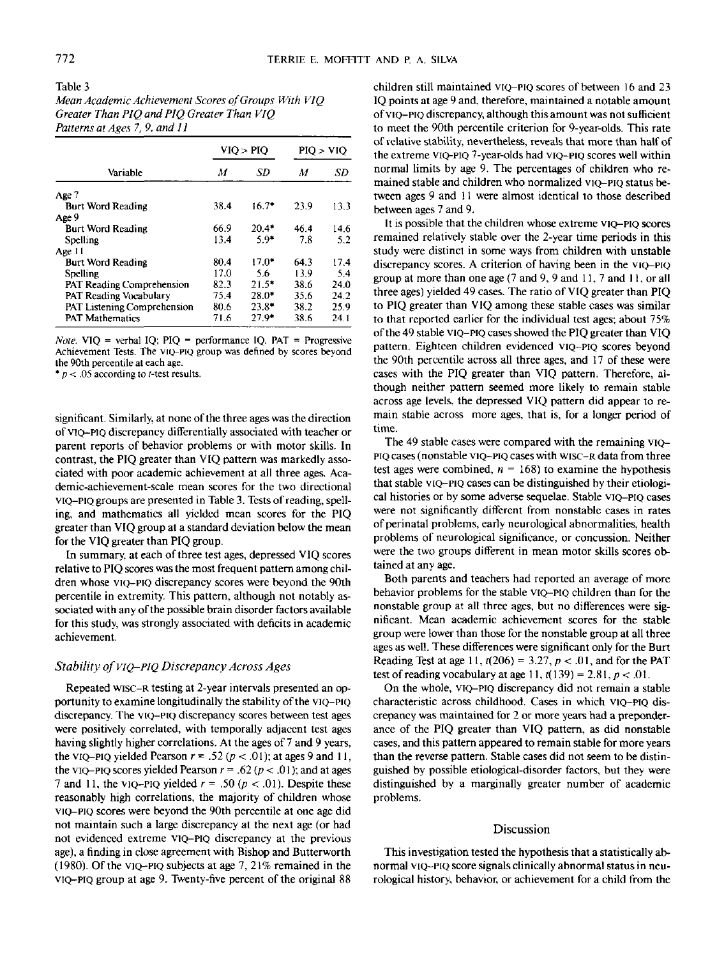Table 3 *Mean Academic Achievement Scores of Groups With V1Q Greater Than PIQ and PIQ Greater Than VIQ Patterns at Ages 7, 9, and 11*

| Variable                    | VIO > PIO |         | PIO > VIO |      |
|-----------------------------|-----------|---------|-----------|------|
|                             | М         | SD      | M         | SD   |
| Age 7                       |           |         |           |      |
| <b>Burt Word Reading</b>    | 38.4      | $16.7*$ | 23.9      | 13.3 |
| Age 9                       |           |         |           |      |
| <b>Burt Word Reading</b>    | 66.9      | $20.4*$ | 46.4      | 14.6 |
| Spelling                    | 13.4      | $5.9*$  | 7.8       | 5.2  |
| Age 11                      |           |         |           |      |
| <b>Burt Word Reading</b>    | 80.4      | $17.0*$ | 64.3      | 17.4 |
| Spelling                    | 17.0      | 5.6     | 13.9      | 5.4  |
| PAT Reading Comprehension   | 82.3      | $21.5*$ | 38.6      | 24.0 |
| PAT Reading Vocabulary      | 75.4      | $28.0*$ | 35.6      | 24.2 |
| PAT Listening Comprehension | 80.6      | 23.8*   | 38.2      | 25.9 |
| <b>PAT Mathematics</b>      | 71.6      | $27.9*$ | 38.6      | 24.1 |

*Note.* VIQ = verbal IQ; PIQ = performance IQ. PAT = Progressive Achievement Tests. The VIQ-PIQ group was denned by scores beyond the 90th percentile at each age.

 $* p < .05$  according to *t*-test results.

significant. Similarly, at none of the three ages was the direction of VIQ-PIQ discrepancy differentially associated with teacher or parent reports of behavior problems or with motor skills. In contrast, the PIQ greater than VIQ pattern was markedly associated with poor academic achievement at all three ages. Academic-achievement-scale mean scores for the two directional VIQ-PIQ groups are presented in Table 3. Tests of reading, spelling, and mathematics all yielded mean scores for the PIQ greater than VIQ group at a standard deviation below the mean for the VIQ greater than PIQ group.

In summary, at each of three test ages, depressed VIQ scores relative to PIQ scores was the most frequent pattern among children whose VIQ-PIQ discrepancy scores were beyond the 90th percentile in extremity. This pattern, although not notably associated with any of the possible brain disorder factors available for this study, was strongly associated with deficits in academic achievement.

## *Stability of VIQ-PIQ Discrepancy Across Ages*

Repeated wisc-R testing at 2-year intervals presented an opportunity to examine longitudinally the stability of the VIQ-PIQ discrepancy. The VIQ-PIQ discrepancy scores between test ages were positively correlated, with temporally adjacent test ages having slightly higher correlations. At the ages of 7 and 9 years, the VIQ-PIQ yielded Pearson  $r = .52$  ( $p < .01$ ); at ages 9 and 11, the VIQ-PIQ scores yielded Pearson  $r = .62$  ( $p < .01$ ); and at ages 7 and 11, the VIQ-PIQ yielded  $r = .50$  ( $p < .01$ ). Despite these reasonably high correlations, the majority of children whose VIQ-PIQ scores were beyond the 90th percentile at one age did not maintain such a large discrepancy at the next age (or had not evidenced extreme VIQ-PIQ discrepancy at the previous age), a finding in close agreement with Bishop and Butterworth (1980). Of the VIQ-PIQ subjects at age 7, 21% remained in the VIQ-PIQ group at age 9. Twenty-five percent of the original 88

children still maintained VIQ-PIQ scores of between 16 and 23 IQ points at age 9 and, therefore, maintained a notable amount of VIQ-PIQ discrepancy, although this amount was not sufficient to meet the 90th percentile criterion for 9-year-olds. This rate of relative stability, nevertheless, reveals that more than half of the extreme VIQ-PIQ 7-year-olds had VIQ-PIQ scores well within normal limits by age 9. The percentages of children who remained stable and children who normalized VIQ-PIQ status between ages 9 and 11 were almost identical to those described between ages 7 and 9.

It is possible that the children whose extreme VIQ-PIQ scores remained relatively stable over the 2-year time periods in this study were distinct in some ways from children with unstable discrepancy scores. A criterion of having been in the VIQ-PIQ group at more than one age (7 and 9, 9 and 11,7 and 11, or all three ages) yielded 49 cases. The ratio of VIQ greater than PIQ to PIQ greater than VIQ among these stable cases was similar to that reported earlier for the individual test ages; about 75% of the 49 stable VIQ-PIQ cases showed the PIQ greater than VIQ pattern. Eighteen children evidenced VIQ-PIQ scores beyond the 90th percentile across all three ages, and 17 of these were cases with the PIQ greater than VIQ pattern. Therefore, although neither pattern seemed more likely to remain stable across age levels, the depressed VIQ pattern did appear to remain stable across more ages, that is, for a longer period of time.

The 49 stable cases were compared with the remaining VIQ-PIQ cases (nonstable VIQ-PIQ cases with wisc-R data from three test ages were combined,  $n = 168$ ) to examine the hypothesis that stable VIQ-PIQ cases can be distinguished by their etiological histories or by some adverse sequelae. Stable VIQ-PIQ cases were not significantly different from nonstable cases in rates of perinatal problems, early neurological abnormalities, health problems of neurological significance, or concussion. Neither were the two groups different in mean motor skills scores obtained at any age.

Both parents and teachers had reported an average of more behavior problems for the stable VIQ-PIQ children than for the nonstable group at all three ages, but no differences were significant. Mean academic achievement scores for the stable group were lower than those for the nonstable group at all three ages as well. These differences were significant only for the Burt Reading Test at age 11,  $t(206) = 3.27$ ,  $p < .01$ , and for the PAT test of reading vocabulary at age 11,  $t(139) = 2.81$ ,  $p < .01$ .

On the whole, VIQ-PIQ discrepancy did not remain a stable characteristic across childhood. Cases in which VIQ-PIQ discrepancy was maintained for 2 or more years had a preponderance of the PIQ greater than VIQ pattern, as did nonstable cases, and this pattern appeared to remain stable for more years than the reverse pattern. Stable cases did not seem to be distinguished by possible etiological-disorder factors, but they were distinguished by a marginally greater number of academic problems.

#### Discussion

This investigation tested the hypothesis that a statistically abnormal VIQ-PIQ score signals clinically abnormal status in neurological history, behavior, or achievement for a child from the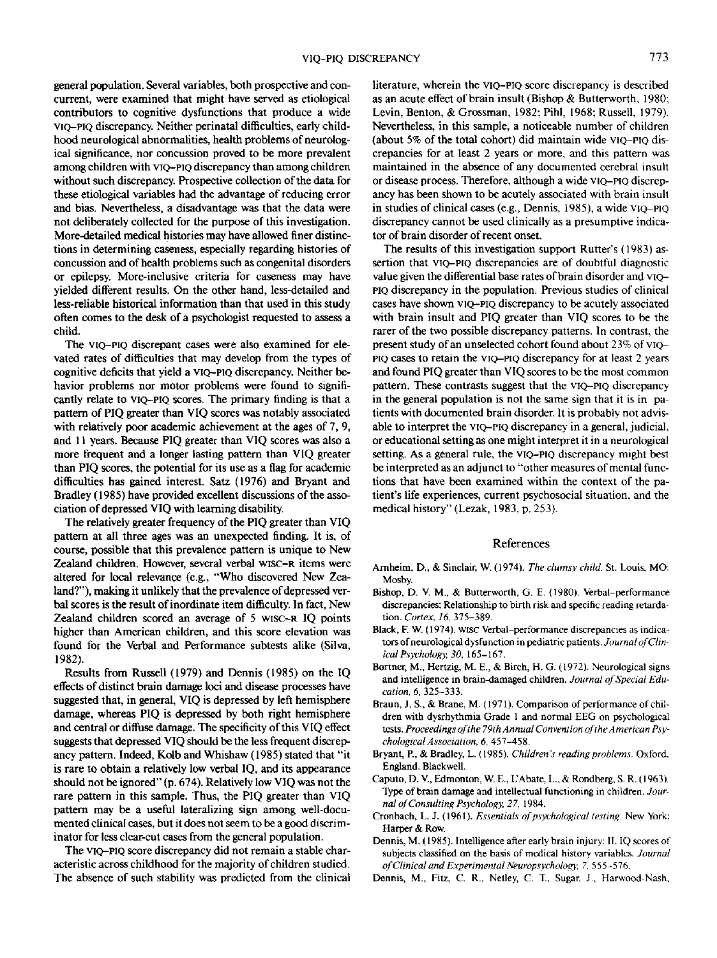general population. Several variables, both prospective and concurrent, were examined that might have served as etiological contributors to cognitive dysfunctions that produce a wide VIQ-PIQ discrepancy. Neither perinatal difficulties, early childhood neurological abnormalities, health problems of neurological significance, nor concussion proved to be more prevalent among children with VIQ-PIQ discrepancy than among children without such discrepancy. Prospective collection of the data for these etiological variables had the advantage of reducing error and bias. Nevertheless, a disadvantage was that the data were not deliberately collected for the purpose of this investigation. More-detailed medical histories may have allowed finer distinctions in determining caseness, especially regarding histories of concussion and of health problems such as congenital disorders or epilepsy. More-inclusive criteria for caseness may have yielded different results. On the other hand, less-detailed and less-reliable historical information than that used in this study often comes to the desk of a psychologist requested to assess a child.

The VIQ-PIQ discrepant cases were also examined for elevated rates of difficulties that may develop from the types of cognitive deficits that yield a VIQ-PIQ discrepancy. Neither behavior problems nor motor problems were found to significantly relate to VIQ-PIQ scores. The primary finding is that a pattern of PIQ greater than VIQ scores was notably associated with relatively poor academic achievement at the ages of 7, 9, and 11 years. Because PIQ greater than VIQ scores was also a more frequent and a longer lasting pattern than VIQ greater than PIQ scores, the potential for its use as a flag for academic difficulties has gained interest. Satz (1976) and Bryant and Bradley (1985) have provided excellent discussions of the association of depressed VIQ with learning disability.

The relatively greater frequency of the PIQ greater than VIQ pattern at all three ages was an unexpected finding. It is, of course, possible that this prevalence pattern is unique to New Zealand children. However, several verbal WISC-R items were altered for local relevance (e.g., "Who discovered New Zealand?"), making it unlikely that the prevalence of depressed verbal scores is the result of inordinate item difficulty. In fact, New Zealand children scored an average of 5 WISC-R IQ points higher than American children, and this score elevation was found for the Verbal and Performance subtests alike (Silva, 1982).

Results from Russell (1979) and Dennis (1985) on the IQ effects of distinct brain damage loci and disease processes have suggested that, in general, VIQ is depressed by left hemisphere damage, whereas PIQ is depressed by both right hemisphere and central or diffuse damage. The specificity of this VIQ effect suggests that depressed VIQ should be the less frequent discrepancy pattern. Indeed, Kolb and Whishaw (1985) stated that "it is rare to obtain a relatively low verbal IQ, and its appearance should not be ignored" (p. 674). Relatively low VIQ was not the rare pattern in this sample. Thus, the PIQ greater than VIQ pattern may be a useful lateralizing sign among well-documented clinical cases, but it does not seem to be a good discriminator for less clear-cut cases from the general population.

The VIQ-PIQ score discrepancy did not remain a stable characteristic across childhood for the majority of children studied. The absence of such stability was predicted from the clinical literature, wherein the VIQ-PIQ score discrepancy is described as an acute effect of brain insult (Bishop & Butterworth, 1980; Levin, Benton, & Grossman, 1982; Pihl, 1968; Russell, 1979). Nevertheless, in this sample, a noticeable number of children (about 5% of the total cohort) did maintain wide VIQ-PIQ discrepancies for at least 2 years or more, and this pattern was maintained in the absence of any documented cerebral insult or disease process. Therefore, although a wide VIQ-PIQ discrepancy has been shown to be acutely associated with brain insult in studies of clinical cases (e.g., Dennis, 1985), a wide VIQ-PIQ discrepancy cannot be used clinically as a presumptive indicator of brain disorder of recent onset.

The results of this investigation support Rutter's (1983) assertion that VIO-PIO discrepancies are of doubtful diagnostic value given the differential base rates of brain disorder and VIQ-PIQ discrepancy in the population. Previous studies of clinical cases have shown VIQ-PIQ discrepancy to be acutely associated with brain insult and PIQ greater than VIQ scores to be the rarer of the two possible discrepancy patterns. In contrast, the present study of an unselected cohort found about 23% of VIQ-PIQ cases to retain the VIQ-PIQ discrepancy for at least 2 years and found PIQ greater than VIQ scores to be the most common pattern. These contrasts suggest that the VIQ-PIQ discrepancy in the general population is not the same sign that it is in patients with documented brain disorder. It is probably not advisable to interpret the VIQ-PIQ discrepancy in a general, judicial, or educational setting as one might interpret it in a neurological setting. As a general rule, the VIQ-PIQ discrepancy might best be interpreted as an adjunct to "other measures of mental functions that have been examined within the context of the patient's life experiences, current psychosocial situation, and the medical history" (Lezak, 1983, p. 253).

## References

- Arnheim, D., & Sinclair, W. (1974). *The clumsy child.* St. Louis, MO: Moshy
- Bishop, D. V. M., & Butterworth, G. E. (1980). Verbal-performance discrepancies; Relationship to birth risk and specific reading retardation. *Cortex, 16,* 375-389.
- Black, F W. (1974). wise Verbal-performance discrepancies as indicators of neurological dysfunction in pediatric patients. *Journal of Clinical Psychology, 30,* 165-167.
- Bortner, M., Hertzig, M. E., & Birch, H. G. (1972). Neurological signs and intelligence in brain-damaged children. *Journal oj Special Education, 6,* 325-333.
- Braun, J. S., & Brane, M. (1971). Comparison of performance of children with dysrhythmia Grade 1 and normal EEG on psychological tests. Proceedings of the 79th Annual Convention of the American Psy*chological Association, 6,* 457-458.
- Bryant, P.. & Bradley, L. (1985). *Children's reading problems.* Oxford, England. Blackwell.
- Caputo, D. V., Edmonton, W. E., L'Abate, L., & Rondberg, S. R. (1963). Type of brain damage and intellectual functioning in children. *Journal of Consulting Psychology, 27,* 1984.
- Cronbach, L. J. (1961). *Essentials of psychological testing* New York: Harper *&* Row.
- Dennis, M. (1985). Intelligence after early brain injury: II. IQ scores of subjects classified on the basis of medical history variables. *Journal of Clinical and Experimental Neuropsychohgy, 7,* 555-576.
- Dennis, M., Fitz, C. R.. Netley, C. T., Sugar. J., Harwood-Nash.